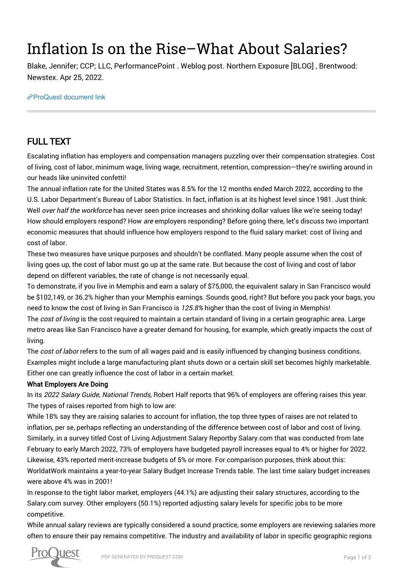# Inflation Is on the Rise–What About Salaries?

Blake, Jennifer; CCP; LLC, PerformancePoint . Weblog post. Northern Exposure [BLOG] , Brentwood: Newstex. Apr 25, 2022.

[ProQuest document link](https://www.proquest.com/blogs-podcasts-websites/inflation-is-on-rise-what-about-salaries/docview/2654416746/se-2?accountid=44910)

### FULL TEXT

Escalating inflation has employers and compensation managers puzzling over their compensation strategies. Cost of living, cost of labor, minimum wage, living wage, recruitment, retention, compression—they're swirling around in our heads like uninvited confetti!

The annual inflation rate for the United States was 8.5% for the 12 months ended March 2022, according to the U.S. Labor Department's Bureau of Labor Statistics. In fact, inflation is at its highest level since 1981. Just think: Well over half the workforce has never seen price increases and shrinking dollar values like we're seeing today! How should employers respond? How are employers responding? Before going there, let's discuss two important economic measures that should influence how employers respond to the fluid salary market: cost of living and cost of labor.

These two measures have unique purposes and shouldn't be conflated. Many people assume when the cost of living goes up, the cost of labor must go up at the same rate. But because the cost of living and cost of labor depend on different variables, the rate of change is not necessarily equal.

To demonstrate, if you live in Memphis and earn a salary of \$75,000, the equivalent salary in San Francisco would be \$102,149, or 36.2% higher than your Memphis earnings. Sounds good, right? But before you pack your bags, you need to know the cost of living in San Francisco is 125.8% higher than the cost of living in Memphis!

The cost of living is the cost required to maintain a certain standard of living in a certain geographic area. Large metro areas like San Francisco have a greater demand for housing, for example, which greatly impacts the cost of living.

The cost of labor refers to the sum of all wages paid and is easily influenced by changing business conditions. Examples might include a large manufacturing plant shuts down or a certain skill set becomes highly marketable. Either one can greatly influence the cost of labor in a certain market.

#### What Employers Are Doing

In its 2022 Salary Guide, National Trends, Robert Half reports that 96% of employers are offering raises this year. The types of raises reported from high to low are:

While 18% say they are raising salaries to account for inflation, the top three types of raises are not related to inflation, per se, perhaps reflecting an understanding of the difference between cost of labor and cost of living. Similarly, in a survey titled Cost of Living Adjustment Salary Reportby Salary.com that was conducted from late February to early March 2022, 73% of employers have budgeted payroll increases equal to 4% or higher for 2022. Likewise, 43% reported merit-increase budgets of 5% or more. For comparison purposes, think about this: WorldatWork maintains a year-to-year Salary Budget Increase Trends table. The last time salary budget increases were above 4% was in 2001!

In response to the tight labor market, employers (44.1%) are adjusting their salary structures, according to the Salary.com survey. Other employers (50.1%) reported adjusting salary levels for specific jobs to be more competitive.

While annual salary reviews are typically considered a sound practice, some employers are reviewing salaries more often to ensure their pay remains competitive. The industry and availability of labor in specific geographic regions

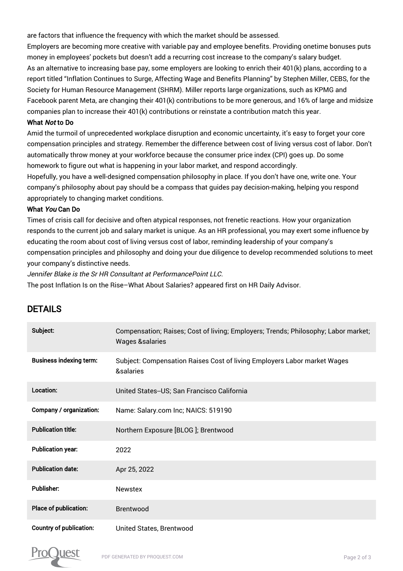are factors that influence the frequency with which the market should be assessed.

Employers are becoming more creative with variable pay and employee benefits. Providing onetime bonuses puts money in employees' pockets but doesn't add a recurring cost increase to the company's salary budget. As an alternative to increasing base pay, some employers are looking to enrich their 401(k) plans, according to a report titled "Inflation Continues to Surge, Affecting Wage and Benefits Planning" by Stephen Miller, CEBS, for the Society for Human Resource Management (SHRM). Miller reports large organizations, such as KPMG and Facebook parent Meta, are changing their 401(k) contributions to be more generous, and 16% of large and midsize companies plan to increase their 401(k) contributions or reinstate a contribution match this year.

#### What Not to Do

Amid the turmoil of unprecedented workplace disruption and economic uncertainty, it's easy to forget your core compensation principles and strategy. Remember the difference between cost of living versus cost of labor. Don't automatically throw money at your workforce because the consumer price index (CPI) goes up. Do some homework to figure out what is happening in your labor market, and respond accordingly.

Hopefully, you have a well-designed compensation philosophy in place. If you don't have one, write one. Your company's philosophy about pay should be a compass that guides pay decision-making, helping you respond appropriately to changing market conditions.

#### What You Can Do

Times of crisis call for decisive and often atypical responses, not frenetic reactions. How your organization responds to the current job and salary market is unique. As an HR professional, you may exert some influence by educating the room about cost of living versus cost of labor, reminding leadership of your company's compensation principles and philosophy and doing your due diligence to develop recommended solutions to meet your company's distinctive needs.

Jennifer Blake is the Sr HR Consultant at PerformancePoint LLC.

The post Inflation Is on the Rise–What About Salaries? appeared first on HR Daily Advisor.

| Subject:                       | Compensation; Raises; Cost of living; Employers; Trends; Philosophy; Labor market;<br><b>Wages &amp;salaries</b> |
|--------------------------------|------------------------------------------------------------------------------------------------------------------|
| <b>Business indexing term:</b> | Subject: Compensation Raises Cost of living Employers Labor market Wages<br>&salaries                            |
| Location:                      | United States-US; San Francisco California                                                                       |
| Company / organization:        | Name: Salary.com Inc; NAICS: 519190                                                                              |
| <b>Publication title:</b>      | Northern Exposure [BLOG]; Brentwood                                                                              |
| <b>Publication year:</b>       | 2022                                                                                                             |
| <b>Publication date:</b>       | Apr 25, 2022                                                                                                     |
| <b>Publisher:</b>              | <b>Newstex</b>                                                                                                   |
| Place of publication:          | <b>Brentwood</b>                                                                                                 |
| <b>Country of publication:</b> | United States, Brentwood                                                                                         |

## DETAILS